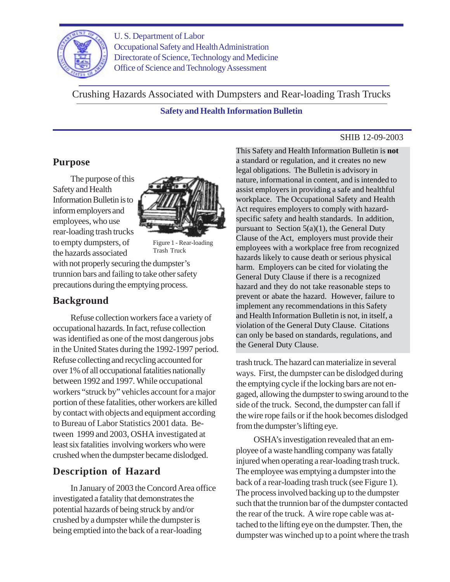

U. S. Department of Labor Occupational Safety and Health Administration Directorate of Science, Technology and Medicine Office of Science and Technology Assessment

**Safety and Health Information Bulletin** Crushing Hazards Associated with Dumpsters and Rear-loading Trash Trucks

#### SHIB 12-09-2003

### **Purpose**

The purpose of this Safety and Health Information Bulletin is to inform employers and employees, who use rear-loading trash trucks to empty dumpsters, of the hazards associated



Figure 1 - Rear-loading Trash Truck

with not properly securing the dumpster's trunnion bars and failing to take other safety precautions during the emptying process.

# **Background**

Refuse collection workers face a variety of occupational hazards. In fact, refuse collection was identified as one of the most dangerous jobs in the United States during the 1992-1997 period. Refuse collecting and recycling accounted for over 1% of all occupational fatalities nationally between 1992 and 1997. While occupational workers "struck by" vehicles account for a major portion of these fatalities, other workers are killed by contact with objects and equipment according to Bureau of Labor Statistics 2001 data. Between 1999 and 2003, OSHA investigated at least six fatalities involving workers who were crushed when the dumpster became dislodged.

# **Description of Hazard**

In January of 2003 the Concord Area office investigated a fatality that demonstrates the potential hazards of being struck by and/or crushed by a dumpster while the dumpster is being emptied into the back of a rear-loading

This Safety and Health Information Bulletin is **not** a standard or regulation, and it creates no new legal obligations. The Bulletin is advisory in nature, informational in content, and is intended to assist employers in providing a safe and healthful workplace. The Occupational Safety and Health Act requires employers to comply with hazardspecific safety and health standards. In addition, pursuant to Section  $5(a)(1)$ , the General Duty Clause of the Act, employers must provide their employees with a workplace free from recognized hazards likely to cause death or serious physical harm. Employers can be cited for violating the General Duty Clause if there is a recognized hazard and they do not take reasonable steps to prevent or abate the hazard. However, failure to implement any recommendations in this Safety and Health Information Bulletin is not, in itself, a violation of the General Duty Clause. Citations can only be based on standards, regulations, and the General Duty Clause.

trash truck. The hazard can materialize in several ways. First, the dumpster can be dislodged during the emptying cycle if the locking bars are not engaged, allowing the dumpster to swing around to the side of the truck. Second, the dumpster can fall if the wire rope fails or if the hook becomes dislodged from the dumpster's lifting eye.

OSHA's investigation revealed that an employee of a waste handling company was fatally injured when operating a rear-loading trash truck. The employee was emptying a dumpster into the back of a rear-loading trash truck (see Figure 1). The process involved backing up to the dumpster such that the trunnion bar of the dumpster contacted the rear of the truck. A wire rope cable was attached to the lifting eye on the dumpster. Then, the dumpster was winched up to a point where the trash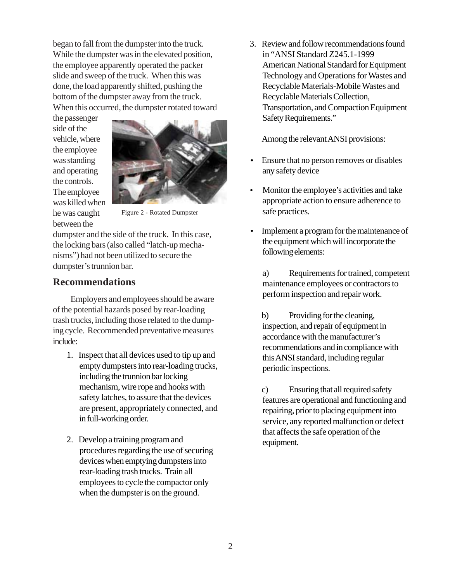began to fall from the dumpster into the truck. While the dumpster was in the elevated position, the employee apparently operated the packer slide and sweep of the truck. When this was done, the load apparently shifted, pushing the bottom of the dumpster away from the truck. When this occurred, the dumpster rotated toward

the passenger side of the vehicle, where the employee was standing and operating the controls. The employee was killed when he was caught between the



Figure 2 - Rotated Dumpster

dumpster and the side of the truck. In this case, the locking bars (also called "latch-up mechanisms") had not been utilized to secure the dumpster's trunnion bar.

# **Recommendations**

Employers and employees should be aware of the potential hazards posed by rear-loading trash trucks, including those related to the dumping cycle. Recommended preventative measures include:

- 1. Inspect that all devices used to tip up and empty dumpsters into rear-loading trucks, including the trunnion bar locking mechanism, wire rope and hooks with safety latches, to assure that the devices are present, appropriately connected, and in full-working order.
- 2. Develop a training program and procedures regarding the use of securing devices when emptying dumpsters into rear-loading trash trucks. Train all employees to cycle the compactor only when the dumpster is on the ground.

3. Review and follow recommendations found in "ANSI Standard Z245.1-1999 American National Standard for Equipment Technology and Operations for Wastes and Recyclable Materials-Mobile Wastes and Recyclable Materials Collection, Transportation, and Compaction Equipment Safety Requirements."

Among the relevant ANSI provisions:

- Ensure that no person removes or disables any safety device
- Monitor the employee's activities and take appropriate action to ensure adherence to safe practices.
- Implement a program for the maintenance of the equipment which will incorporate the following elements:

a) Requirements for trained, competent maintenance employees or contractors to perform inspection and repair work.

b) Providing for the cleaning, inspection, and repair of equipment in accordance with the manufacturer's recommendations and in compliance with this ANSI standard, including regular periodic inspections.

c) Ensuring that all required safety features are operational and functioning and repairing, prior to placing equipment into service, any reported malfunction or defect that affects the safe operation of the equipment.